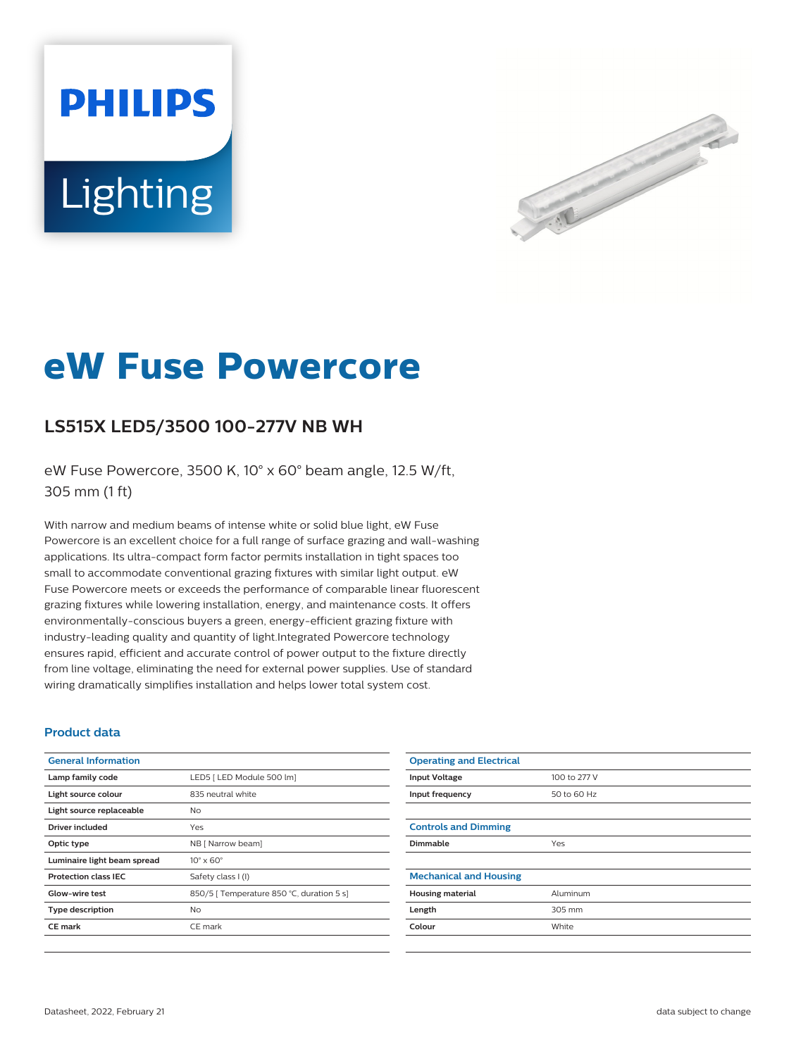# **PHILIPS** Lighting



## **eW Fuse Powercore**

### **LS515X LED5/3500 100-277V NB WH**

eW Fuse Powercore, 3500 K, 10° x 60° beam angle, 12.5 W/ft, 305 mm (1 ft)

With narrow and medium beams of intense white or solid blue light, eW Fuse Powercore is an excellent choice for a full range of surface grazing and wall-washing applications. Its ultra-compact form factor permits installation in tight spaces too small to accommodate conventional grazing fixtures with similar light output. eW Fuse Powercore meets or exceeds the performance of comparable linear fluorescent grazing fixtures while lowering installation, energy, and maintenance costs. It offers environmentally-conscious buyers a green, energy-efficient grazing fixture with industry-leading quality and quantity of light.Integrated Powercore technology ensures rapid, efficient and accurate control of power output to the fixture directly from line voltage, eliminating the need for external power supplies. Use of standard wiring dramatically simplifies installation and helps lower total system cost.

#### **Product data**

| <b>General Information</b>  |                                           |
|-----------------------------|-------------------------------------------|
| Lamp family code            | LED5   LED Module 500 lm]                 |
| Light source colour         | 835 neutral white                         |
| Light source replaceable    | No.                                       |
| Driver included             | Yes                                       |
| Optic type                  | NB [ Narrow beam]                         |
| Luminaire light beam spread | $10^{\circ} \times 60^{\circ}$            |
| <b>Protection class IEC</b> | Safety class I (I)                        |
| Glow-wire test              | 850/5   Temperature 850 °C, duration 5 s] |
| <b>Type description</b>     | N <sub>o</sub>                            |
| <b>CE</b> mark              | CE mark                                   |
|                             |                                           |

| <b>Operating and Electrical</b> |              |
|---------------------------------|--------------|
| <b>Input Voltage</b>            | 100 to 277 V |
| Input frequency                 | 50 to 60 Hz  |
|                                 |              |
| <b>Controls and Dimming</b>     |              |
| Dimmable                        | Yes          |
|                                 |              |
| <b>Mechanical and Housing</b>   |              |
| <b>Housing material</b>         | Aluminum     |
| Length                          | 305 mm       |
| Colour                          | White        |
|                                 |              |